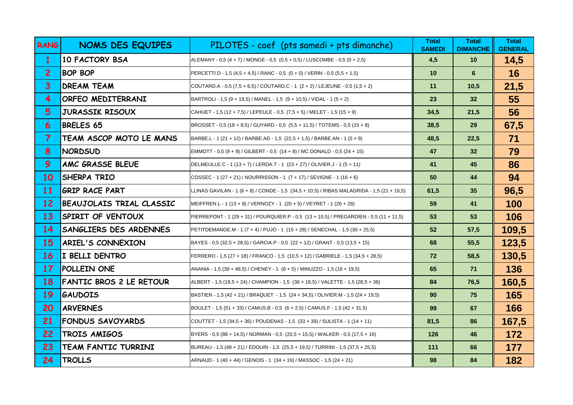| <b>RANG</b>       | <b>NOMS DES EQUIPES</b>        | PILOTES - coef (pts samedi + pts dimanche)                                                 | <b>Total</b><br><b>SAMEDI</b> | <b>Total</b><br><b>DIMANCHE</b> | <b>Total</b><br><b>GENERAL</b> |
|-------------------|--------------------------------|--------------------------------------------------------------------------------------------|-------------------------------|---------------------------------|--------------------------------|
| 1                 | <b>10 FACTORY BSA</b>          | ALEMANY - 0,5 (4 + 7) / MONGE - 0,5 (0,5 + 0,5) / LUSCOMBE - 0,5 (0 + 2,5)                 | 4,5                           | 10                              | 14,5                           |
| $\overline{2}$    | <b>BOP BOP</b>                 | PERCETTI D - 1,5 (4,5 + 4,5) / RANC - 0,5 (0 + 0) / VERIN - 0,5 (5,5 + 1,5)                | 10                            | $6\phantom{1}$                  | 16                             |
| $\overline{3}$    | DREAM TEAM                     | COUTARD A - 0,5 (7,5 + 6,5) / COUTARD C - 1 (2 + 2) / LEJEUNE - 0,5 (1,5 + 2)              | 11                            | 10,5                            | 21,5                           |
| $\overline{4}$    | ORFEO MEDITERRANI              | BARTROLI - 1,5 (9 + 19,5) / MANEL - 1,5 (9 + 10,5) / VIDAL - 1 (5 + 2)                     | 23                            | 32 <sub>2</sub>                 | 55                             |
| 5                 | JURASSIK RISOUX                | CAHUET - 1,5 (12 + 7,5) / LEPEULE - 0,5 (7,5 + 5) / MELET - 1,5 (15 + 9)                   | 34,5                          | 21,5                            | 56                             |
| 6                 | <b>BRELES 65</b>               | BROSSET - 0,5 (18 + 9,5) / GUYARD - 0,5 (5,5 + 11,5) / TOTEMS - 0,5 (15 + 8)               | 38,5                          | 29                              | 67,5                           |
| $\overline{7}$    | TEAM ASCOP MOTO LE MANS        | BARBE.L - 1 (21 + 12) / BARBE.AD - 1,5 (22,5 + 1,5) / BARBE.AN - 1 (5 + 9)                 | 48,5                          | 22,5                            | 71                             |
| 8                 | <b>NORDSUD</b>                 | EMMOTT - 0,5 (9 + 9) / GILBERT - 0,5 (14 + 8) / MC DONALD - 0,5 (24 + 15)                  | 47                            | 32 <sub>2</sub>                 | 79                             |
| 9                 | AMC GRASSE BLEUE               | DELMEULLE.C - 1 (13 + 7) / LERDA.T - 1 (23 + 27) / OLIVIER.J - 1 (5 + 11)                  | 41                            | 45                              | 86                             |
| 10                | SHERPA TRIO                    | (COSSEC - 1 (27 + 21) / NOURRISSON - 1 (7 + 17) / SEVIGNE - 1 (16 + 6)                     | 50                            | 44                              | 94                             |
| <b>11</b>         | <b>GRIP RACE PART</b>          | LLINAS GAVILAN - 1 (6 + 8) / CONDE - 1,5 (34,5 + 10,5) / RIBAS MALAGRIDA - 1,5 (21 + 16,5) | 61,5                          | 35                              | 96,5                           |
| 12 <sup>2</sup>   | BEAUJOLAIS TRIAL CLASSIC       | MEIFFREN.L - 1 (13 + 8) / VERNOZY - 1 (20 + 5) / VEYRET - 1 (26 + 28)                      | 59                            | 41                              | 100                            |
| 13                | SPIRIT OF VENTOUX              | PIERREPONT - 1 (29 + 31) / POURQUIER.P - 0,5 (13 + 10,5) / PREGARDIEN - 0,5 (11 + 11,5)    | 53                            | 53                              | 106                            |
| 14                | SANGLIERS DES ARDENNES         | PETITDEMANGE.M - 1 (7 + 4) / PUJO - 1 (15 + 28) / SENECHAL - 1,5 (30 + 25,5)               | 52                            | 57,5                            | 109,5                          |
| 15                | ARIEL'S CONNEXION              | BAYES - 0,5 (32,5 + 28,5) / GARCIA.P - 0,5 (22 + 12) / GRANT - 0,5 (13,5 + 15)             | 68                            | 55,5                            | 123,5                          |
| <b>16</b>         | I BELLI DENTRO                 | FERRERO - 1,5 (27 + 18) / FRANCO - 1,5 (10,5 + 12) / GABRIELE - 1,5 (34,5 + 28,5)          | 72                            | 58,5                            | 130,5                          |
| 17                | <b>POLLEIN ONE</b>             | ANANIA - 1,5 (39 + 46,5) / CHENEY - 1 (8 + 5) / MINUZZO - 1,5 (18 + 19,5)                  | 65                            | 71                              | 136                            |
| 18                | <b>FANTIC BROS 2 LE RETOUR</b> | ALBERT - 1,5 (19,5 + 24) / CHAMPION - 1,5 (36 + 16,5) / VALETTE - 1,5 (28,5 + 36)          | 84                            | 76,5                            | 160,5                          |
| 19                | GAUDOIS                        | BASTIEN - 1,5 (42 + 21) / BRAQUET - 1,5 (24 + 34,5) / OLIVIER.M - 1,5 (24 + 19,5)          | 90                            | 75                              | 165                            |
| 20                | <b>ARVERNES</b>                | BOULET - 1,5 (51 + 33) / CAMUS.B - 0,5 (6 + 2,5) / CAMUS.F - 1,5 (42 + 31,5)               | 99                            | 67                              | 166                            |
| 21                | <b>FONDUS SAVOYARDS</b>        | COUTTET - 1,5 (34,5 + 36) / POUDENAS - 1,5 (33 + 39) / SULISTA - 1 (14 + 11)               | 81,5                          | 86                              | 167,5                          |
| $22 \overline{)}$ | TROIS AMIGOS                   | BYERS - 0,5 (88 + 14,5) / NORMAN - 0,5 (20,5 + 15,5) / WALKER - 0,5 (17,5 + 16)            | 126                           | 46                              | 172                            |
| 23                | TEAM FANTIC TURRINI            | BUREAU - 1,5 (48 + 21) / EDOUIN - 1,5 (25,5 + 19,5) / TURRINI - 1,5 (37,5 + 25,5)          | 111                           | 66                              | 177                            |
| 24                | <b>TROLLS</b>                  | ARNAUD - 1 (40 + 44) / GENOIS - 1 (34 + 19) / MASSOC - 1,5 (24 + 21)                       | 98                            | 84                              | 182                            |